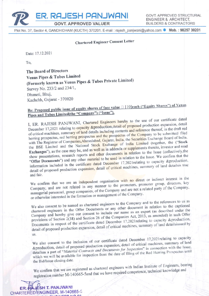ER. RAJESH PANJWANI

**GOVT, APPROVED VALUER** 

GOVT. APPROVED STRUCTURAL **ENGINEER & ARCHITECT. BUILDERS & CONTRACTORS** 

Plot No. 37, Sector 4, GANDHIDHAM (KUCTH) 370201. E-mail : rajesh panjwani@yahoo.com ● Mob. : 98257 30201

## **Chartered Engineer Consent Letter**

Date: 17.12.2021

To.

The Board of Directors Venus Pipes & Tubes Limited (Formerly known as Venus Pipes & Tubes Private Limited) Survey No. 233/2 and 234/1, Dhaneti, Bhuj, Kachchh, Gujarat - 370020

# Re: Proposed public issue of equity shares of face value □ [10]each ("Equity Shares") of Venus Pipes and Tubes Limited(the "Company") ("Issue").

I, ER. RAJESH PANJWANI, Chartered Engineers hereby to the use of our certificate dated December 17,2021 relating to capacity &production, detail of proposed production expansion, detail of critical machines, summary of land details including contents and reference thereof, in the draft red herring prospectus, red herring prospectus and the prospectus of the Company to be submitted/ filed with The Registrar of Companies, Ahmedabad, Gujarat, India, the Securities Exchange Board of India, the BSE Limited and the National Stock Exchange of India Limited (together, the ("Stock Exchanges"), as the case may be, and as well as in addenda or supplements thereto, investor and road show presentations, research reports and other documents in relation to the Issue (collectively, the "Offer Documents") and any other material to be used in relation to the Issue. We confirm that the information included in the certificate dated December 17,2021 relating to capacity &production, detail of proposed production expansion, detail of critical machines, summary of land detailsis true and fair.

We confirm that we are an independent organisation with no direct or indirect interest in the Company, and are not related in any manner to the promoters, promoter group, directors, key managerial personnel, group companies, of the Company and are not a related party of the Company, or otherwise interested in the formation or management of the Company.

We also consent to be named as chartered engineers to the Company and to the references to us as chartered engineers in the Offer Documents or any other document in relation to the captioned Company and hereby give our consent to include our name as an expert (as described under the provisions of Section 2(38) and Section 26 of the Companies Act, 2013, as amended) in such Offer Documents in respect of the certificate dated December 17,2021 relating to capacity &production, detail of proposed production expansion, detail of critical machines, summary of land detailsissued by  $\overline{\text{u}}$ s.

We also consent to the inclusion of our certificate dated December 17,2021relating to capacity &production, detail of proposed production expansion, detail of critical machines, summary of land detailsas a part of "Material Contracts and Documents for Inspection" in connection with the Issue, which we will be available for inspection from the date of filing of the Red Herring Prospectus until the Bid/Issue closing date.

We confirm that we are registered as chartered engineers with Indian Institute of Engineers, bearing registration number M-140665-5and that we have required competence, technical knowledge and